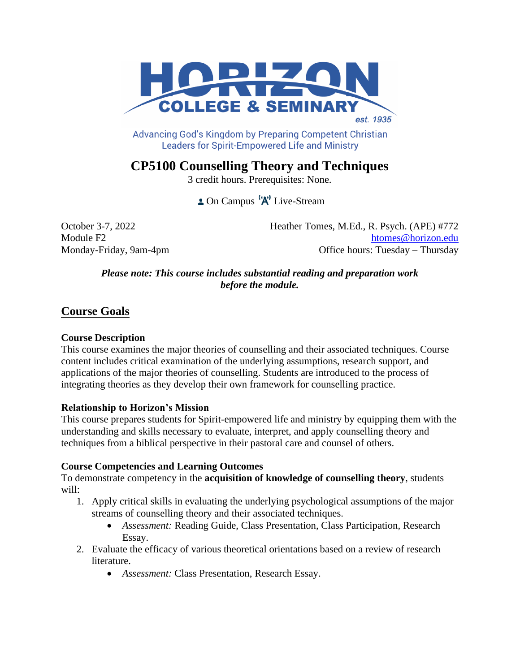

Advancing God's Kingdom by Preparing Competent Christian **Leaders for Spirit-Empowered Life and Ministry** 

# **CP5100 Counselling Theory and Techniques**

3 credit hours. Prerequisites: None.

 $\triangle$  On Campus  $\left(\mathbf{A}\right)^{\dagger}$  Live-Stream

October 3-7, 2022 Heather Tomes, M.Ed., R. Psych. (APE) #772 Module F2 htomes @horizon.edu Monday-Friday, 9am-4pm **Office hours:** Tuesday – Thursday

#### *Please note: This course includes substantial reading and preparation work before the module.*

# **Course Goals**

#### **Course Description**

This course examines the major theories of counselling and their associated techniques. Course content includes critical examination of the underlying assumptions, research support, and applications of the major theories of counselling. Students are introduced to the process of integrating theories as they develop their own framework for counselling practice.

#### **Relationship to Horizon's Mission**

This course prepares students for Spirit-empowered life and ministry by equipping them with the understanding and skills necessary to evaluate, interpret, and apply counselling theory and techniques from a biblical perspective in their pastoral care and counsel of others.

#### **Course Competencies and Learning Outcomes**

To demonstrate competency in the **acquisition of knowledge of counselling theory**, students will:

- 1. Apply critical skills in evaluating the underlying psychological assumptions of the major streams of counselling theory and their associated techniques.
	- *Assessment:* Reading Guide, Class Presentation, Class Participation, Research Essay.
- 2. Evaluate the efficacy of various theoretical orientations based on a review of research literature.
	- *Assessment:* Class Presentation, Research Essay.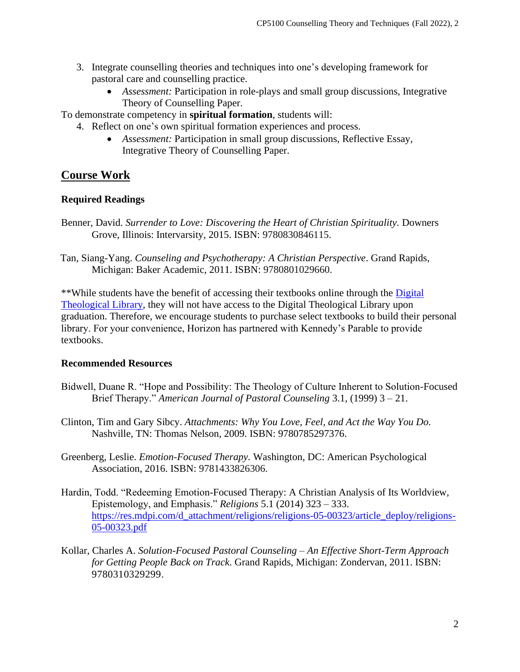- 3. Integrate counselling theories and techniques into one's developing framework for pastoral care and counselling practice.
	- *Assessment:* Participation in role-plays and small group discussions*,* Integrative Theory of Counselling Paper.

To demonstrate competency in **spiritual formation**, students will:

- 4. Reflect on one's own spiritual formation experiences and process.
	- *Assessment:* Participation in small group discussions, Reflective Essay, Integrative Theory of Counselling Paper.

# **Course Work**

#### **Required Readings**

- Benner, David. *Surrender to Love: Discovering the Heart of Christian Spirituality.* Downers Grove, Illinois: Intervarsity, 2015. ISBN: 9780830846115.
- Tan, Siang-Yang. *Counseling and Psychotherapy: A Christian Perspective*. Grand Rapids, Michigan: Baker Academic, 2011. ISBN: 9780801029660.

\*\*While students have the benefit of accessing their textbooks online through the [Digital](https://libguides.thedtl.org/home)  [Theological Library,](https://libguides.thedtl.org/home) they will not have access to the Digital Theological Library upon graduation. Therefore, we encourage students to purchase select textbooks to build their personal library. For your convenience, Horizon has partnered with Kennedy's Parable to provide textbooks.

#### **Recommended Resources**

- Bidwell, Duane R. "Hope and Possibility: The Theology of Culture Inherent to Solution-Focused Brief Therapy." *American Journal of Pastoral Counseling* 3.1, (1999) 3 – 21.
- Clinton, Tim and Gary Sibcy. *Attachments: Why You Love, Feel, and Act the Way You Do.* Nashville, TN: Thomas Nelson, 2009. ISBN: 9780785297376.
- Greenberg, Leslie. *Emotion-Focused Therapy.* Washington, DC: American Psychological Association, 2016. ISBN: 9781433826306.
- Hardin, Todd. "Redeeming Emotion-Focused Therapy: A Christian Analysis of Its Worldview, Epistemology, and Emphasis." *Religions* 5.1 (2014) 323 – 333. [https://res.mdpi.com/d\\_attachment/religions/religions-05-00323/article\\_deploy/religions-](https://res.mdpi.com/d_attachment/religions/religions-05-00323/article_deploy/religions-05-00323.pdf)[05-00323.pdf](https://res.mdpi.com/d_attachment/religions/religions-05-00323/article_deploy/religions-05-00323.pdf)
- Kollar, Charles A. *Solution-Focused Pastoral Counseling – An Effective Short-Term Approach for Getting People Back on Track*. Grand Rapids, Michigan: Zondervan, 2011. ISBN: 9780310329299.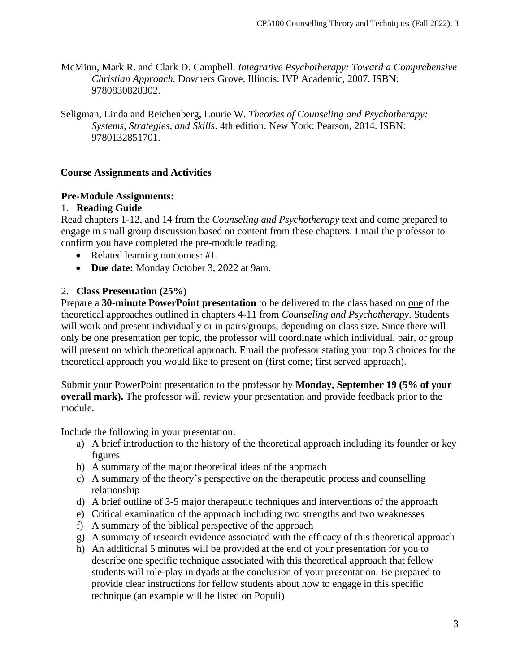- McMinn, Mark R. and Clark D. Campbell. *Integrative Psychotherapy: Toward a Comprehensive Christian Approach.* Downers Grove, Illinois: IVP Academic, 2007. ISBN: 9780830828302.
- Seligman, Linda and Reichenberg, Lourie W. *Theories of Counseling and Psychotherapy: Systems, Strategies, and Skills*. 4th edition. New York: Pearson, 2014. ISBN: 9780132851701.

## **Course Assignments and Activities**

#### **Pre-Module Assignments:**

## 1. **Reading Guide**

Read chapters 1-12, and 14 from the *Counseling and Psychotherapy* text and come prepared to engage in small group discussion based on content from these chapters. Email the professor to confirm you have completed the pre-module reading.

- Related learning outcomes: #1.
- **Due date:** Monday October 3, 2022 at 9am.

## 2. **Class Presentation (25%)**

Prepare a **30-minute PowerPoint presentation** to be delivered to the class based on one of the theoretical approaches outlined in chapters 4-11 from *Counseling and Psychotherapy*. Students will work and present individually or in pairs/groups, depending on class size. Since there will only be one presentation per topic, the professor will coordinate which individual, pair, or group will present on which theoretical approach. Email the professor stating your top 3 choices for the theoretical approach you would like to present on (first come; first served approach).

Submit your PowerPoint presentation to the professor by **Monday, September 19 (5% of your overall mark).** The professor will review your presentation and provide feedback prior to the module.

Include the following in your presentation:

- a) A brief introduction to the history of the theoretical approach including its founder or key figures
- b) A summary of the major theoretical ideas of the approach
- c) A summary of the theory's perspective on the therapeutic process and counselling relationship
- d) A brief outline of 3-5 major therapeutic techniques and interventions of the approach
- e) Critical examination of the approach including two strengths and two weaknesses
- f) A summary of the biblical perspective of the approach
- g) A summary of research evidence associated with the efficacy of this theoretical approach
- h) An additional 5 minutes will be provided at the end of your presentation for you to describe one specific technique associated with this theoretical approach that fellow students will role-play in dyads at the conclusion of your presentation. Be prepared to provide clear instructions for fellow students about how to engage in this specific technique (an example will be listed on Populi)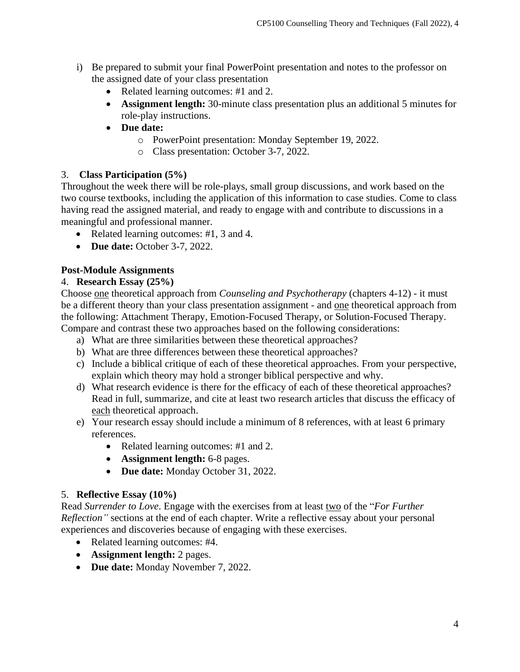- i) Be prepared to submit your final PowerPoint presentation and notes to the professor on the assigned date of your class presentation
	- Related learning outcomes: #1 and 2.
	- **Assignment length:** 30-minute class presentation plus an additional 5 minutes for role-play instructions.
	- **Due date:** 
		- o PowerPoint presentation: Monday September 19, 2022.
		- o Class presentation: October 3-7, 2022.

## 3. **Class Participation (5%)**

Throughout the week there will be role-plays, small group discussions, and work based on the two course textbooks, including the application of this information to case studies. Come to class having read the assigned material, and ready to engage with and contribute to discussions in a meaningful and professional manner.

- Related learning outcomes: #1, 3 and 4.
- **Due date:** October 3-7, 2022.

## **Post-Module Assignments**

## 4. **Research Essay (25%)**

Choose one theoretical approach from *Counseling and Psychotherapy* (chapters 4-12) - it must be a different theory than your class presentation assignment - and one theoretical approach from the following: Attachment Therapy, Emotion-Focused Therapy, or Solution-Focused Therapy. Compare and contrast these two approaches based on the following considerations:

- a) What are three similarities between these theoretical approaches?
- b) What are three differences between these theoretical approaches?
- c) Include a biblical critique of each of these theoretical approaches. From your perspective, explain which theory may hold a stronger biblical perspective and why.
- d) What research evidence is there for the efficacy of each of these theoretical approaches? Read in full, summarize, and cite at least two research articles that discuss the efficacy of each theoretical approach.
- e) Your research essay should include a minimum of 8 references, with at least 6 primary references.
	- Related learning outcomes: #1 and 2.
	- **Assignment length:** 6-8 pages.
	- **Due date:** Monday October 31, 2022.

## 5. **Reflective Essay (10%)**

Read *Surrender to Love*. Engage with the exercises from at least two of the "*For Further Reflection"* sections at the end of each chapter. Write a reflective essay about your personal experiences and discoveries because of engaging with these exercises.

- Related learning outcomes: #4.
- **Assignment length:** 2 pages.
- **Due date:** Monday November 7, 2022.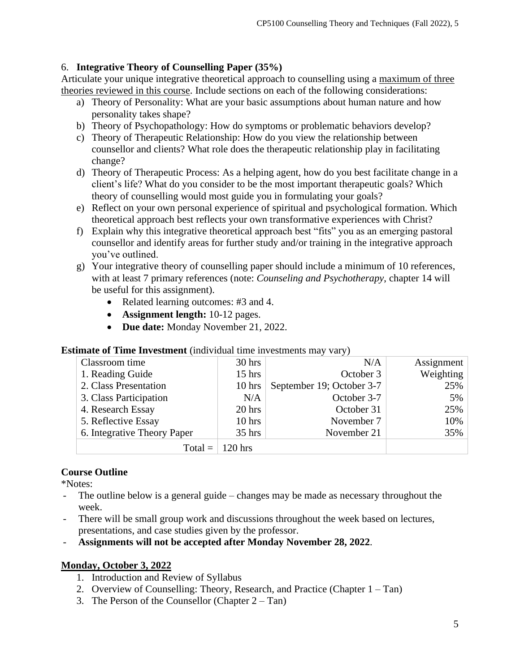## 6. **Integrative Theory of Counselling Paper (35%)**

Articulate your unique integrative theoretical approach to counselling using a maximum of three theories reviewed in this course. Include sections on each of the following considerations:

- a) Theory of Personality: What are your basic assumptions about human nature and how personality takes shape?
- b) Theory of Psychopathology: How do symptoms or problematic behaviors develop?
- c) Theory of Therapeutic Relationship: How do you view the relationship between counsellor and clients? What role does the therapeutic relationship play in facilitating change?
- d) Theory of Therapeutic Process: As a helping agent, how do you best facilitate change in a client's life? What do you consider to be the most important therapeutic goals? Which theory of counselling would most guide you in formulating your goals?
- e) Reflect on your own personal experience of spiritual and psychological formation. Which theoretical approach best reflects your own transformative experiences with Christ?
- f) Explain why this integrative theoretical approach best "fits" you as an emerging pastoral counsellor and identify areas for further study and/or training in the integrative approach you've outlined.
- g) Your integrative theory of counselling paper should include a minimum of 10 references, with at least 7 primary references (note: *Counseling and Psychotherapy*, chapter 14 will be useful for this assignment).
	- Related learning outcomes: #3 and 4.
	- **Assignment length:** 10-12 pages.
	- **Due date:** Monday November 21, 2022.

#### Classroom time 1. Reading Guide 2. Class Presentation 3. Class Participation 4. Research Essay 5. Reflective Essay 6. Integrative Theory Paper 30 hrs 15 hrs 10 hrs N/A 20 hrs 10 hrs 35 hrs N/A October 3 September 19; October 3-7 October 3-7 October 31 November 7 November 21 Assignment Weighting 25% 5% 25% 10% 35% Total  $=$  120 hrs

#### **Estimate of Time Investment** (individual time investments may vary)

## **Course Outline**

\*Notes:

- The outline below is a general guide changes may be made as necessary throughout the week.
- There will be small group work and discussions throughout the week based on lectures, presentations, and case studies given by the professor.
- **Assignments will not be accepted after Monday November 28, 2022**.

## **Monday, October 3, 2022**

- 1. Introduction and Review of Syllabus
- 2. Overview of Counselling: Theory, Research, and Practice (Chapter 1 Tan)
- 3. The Person of the Counsellor (Chapter  $2 Tan$ )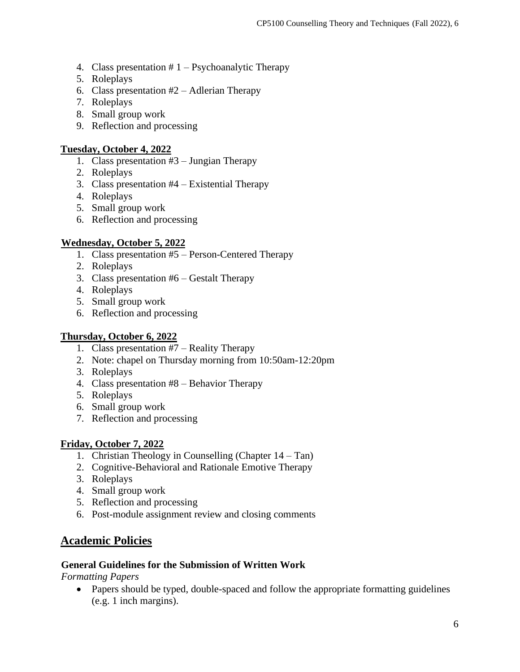- 4. Class presentation  $# 1 \text{Psychoanalytic Theory}$
- 5. Roleplays
- 6. Class presentation  $#2 -$  Adlerian Therapy
- 7. Roleplays
- 8. Small group work
- 9. Reflection and processing

#### **Tuesday, October 4, 2022**

- 1. Class presentation #3 Jungian Therapy
- 2. Roleplays
- 3. Class presentation #4 Existential Therapy
- 4. Roleplays
- 5. Small group work
- 6. Reflection and processing

## **Wednesday, October 5, 2022**

- 1. Class presentation #5 Person-Centered Therapy
- 2. Roleplays
- 3. Class presentation #6 Gestalt Therapy
- 4. Roleplays
- 5. Small group work
- 6. Reflection and processing

## **Thursday, October 6, 2022**

- 1. Class presentation #7 Reality Therapy
- 2. Note: chapel on Thursday morning from 10:50am-12:20pm
- 3. Roleplays
- 4. Class presentation #8 Behavior Therapy
- 5. Roleplays
- 6. Small group work
- 7. Reflection and processing

## **Friday, October 7, 2022**

- 1. Christian Theology in Counselling (Chapter 14 Tan)
- 2. Cognitive-Behavioral and Rationale Emotive Therapy
- 3. Roleplays
- 4. Small group work
- 5. Reflection and processing
- 6. Post-module assignment review and closing comments

# **Academic Policies**

#### **General Guidelines for the Submission of Written Work**

*Formatting Papers* 

• Papers should be typed, double-spaced and follow the appropriate formatting guidelines (e.g. 1 inch margins).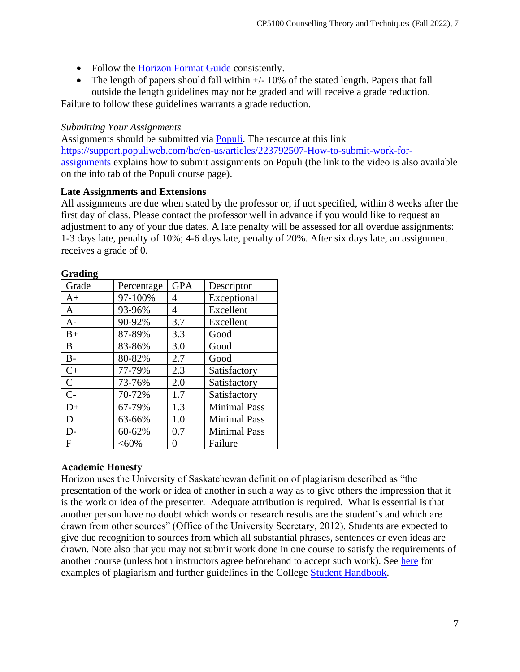- Follow the [Horizon Format Guide](https://www.horizon.edu/students/resources/) consistently.
- The length of papers should fall within  $+/-10\%$  of the stated length. Papers that fall outside the length guidelines may not be graded and will receive a grade reduction.

Failure to follow these guidelines warrants a grade reduction.

## *Submitting Your Assignments*

Assignments should be submitted via **Populi**. The resource at this link [https://support.populiweb.com/hc/en-us/articles/223792507-How-to-submit-work-for](https://support.populiweb.com/hc/en-us/articles/223792507-How-to-submit-work-for-assignments)[assignments](https://support.populiweb.com/hc/en-us/articles/223792507-How-to-submit-work-for-assignments) explains how to submit assignments on Populi (the link to the video is also available on the info tab of the Populi course page).

## **Late Assignments and Extensions**

All assignments are due when stated by the professor or, if not specified, within 8 weeks after the first day of class. Please contact the professor well in advance if you would like to request an adjustment to any of your due dates. A late penalty will be assessed for all overdue assignments: 1-3 days late, penalty of 10%; 4-6 days late, penalty of 20%. After six days late, an assignment receives a grade of 0.

| Oraumg<br>Grade | Percentage | <b>GPA</b> | Descriptor          |
|-----------------|------------|------------|---------------------|
| $A+$            | 97-100%    | 4          | Exceptional         |
| A               | 93-96%     | 4          | Excellent           |
| $A -$           | 90-92%     | 3.7        | Excellent           |
| $B+$            | 87-89%     | 3.3        | Good                |
| B               | 83-86%     | 3.0        | Good                |
| $B -$           | 80-82%     | 2.7        | Good                |
| $C+$            | 77-79%     | 2.3        | Satisfactory        |
| $\mathsf{C}$    | 73-76%     | 2.0        | Satisfactory        |
| $C-$            | 70-72%     | 1.7        | Satisfactory        |
| $D+$            | 67-79%     | 1.3        | <b>Minimal Pass</b> |
| D               | 63-66%     | 1.0        | <b>Minimal Pass</b> |
| D-              | 60-62%     | 0.7        | <b>Minimal Pass</b> |
| F               | $<,60\%$   | $_{0}$     | Failure             |

#### **Grading**

#### **Academic Honesty**

Horizon uses the University of Saskatchewan definition of plagiarism described as "the presentation of the work or idea of another in such a way as to give others the impression that it is the work or idea of the presenter. Adequate attribution is required. What is essential is that another person have no doubt which words or research results are the student's and which are drawn from other sources" (Office of the University Secretary, 2012). Students are expected to give due recognition to sources from which all substantial phrases, sentences or even ideas are drawn. Note also that you may not submit work done in one course to satisfy the requirements of another course (unless both instructors agree beforehand to accept such work). See [here](http://www.turnitin.com/assets/en_us/media/plagiarism_spectrum.php) for examples of plagiarism and further guidelines in the College [Student Handbook.](https://www.horizon.edu/students/resources/)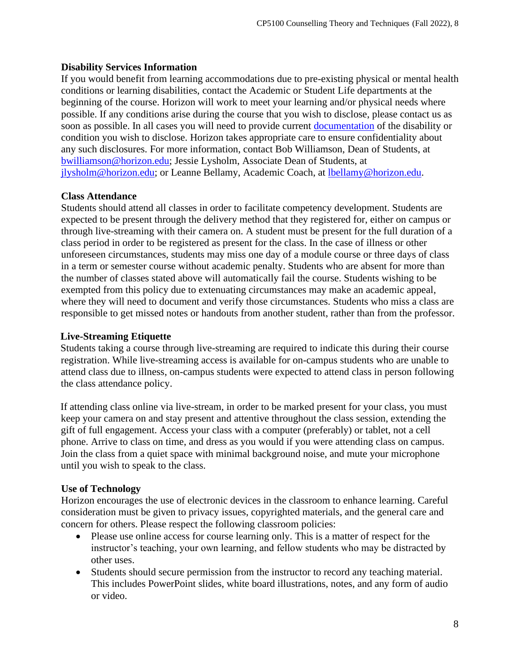## **Disability Services Information**

If you would benefit from learning accommodations due to pre-existing physical or mental health conditions or learning disabilities, contact the Academic or Student Life departments at the beginning of the course. Horizon will work to meet your learning and/or physical needs where possible. If any conditions arise during the course that you wish to disclose, please contact us as soon as possible. In all cases you will need to provide current [documentation](https://www.horizon.edu/students/support/) of the disability or condition you wish to disclose. Horizon takes appropriate care to ensure confidentiality about any such disclosures. For more information, contact Bob Williamson, Dean of Students, at [bwilliamson@horizon.edu;](mailto:bwilliamson@horizon.edu) Jessie Lysholm, Associate Dean of Students, at [jlysholm@horizon.edu;](mailto:jlysholm@horizon.edu) or Leanne Bellamy, Academic Coach, at [lbellamy@horizon.edu.](mailto:lbellamy@horizon.edu)

#### **Class Attendance**

Students should attend all classes in order to facilitate competency development. Students are expected to be present through the delivery method that they registered for, either on campus or through live-streaming with their camera on. A student must be present for the full duration of a class period in order to be registered as present for the class. In the case of illness or other unforeseen circumstances, students may miss one day of a module course or three days of class in a term or semester course without academic penalty. Students who are absent for more than the number of classes stated above will automatically fail the course. Students wishing to be exempted from this policy due to extenuating circumstances may make an academic appeal, where they will need to document and verify those circumstances. Students who miss a class are responsible to get missed notes or handouts from another student, rather than from the professor.

#### **Live-Streaming Etiquette**

Students taking a course through live-streaming are required to indicate this during their course registration. While live-streaming access is available for on-campus students who are unable to attend class due to illness, on-campus students were expected to attend class in person following the class attendance policy.

If attending class online via live-stream, in order to be marked present for your class, you must keep your camera on and stay present and attentive throughout the class session, extending the gift of full engagement. Access your class with a computer (preferably) or tablet, not a cell phone. Arrive to class on time, and dress as you would if you were attending class on campus. Join the class from a quiet space with minimal background noise, and mute your microphone until you wish to speak to the class.

## **Use of Technology**

Horizon encourages the use of electronic devices in the classroom to enhance learning. Careful consideration must be given to privacy issues, copyrighted materials, and the general care and concern for others. Please respect the following classroom policies:

- Please use online access for course learning only. This is a matter of respect for the instructor's teaching, your own learning, and fellow students who may be distracted by other uses.
- Students should secure permission from the instructor to record any teaching material. This includes PowerPoint slides, white board illustrations, notes, and any form of audio or video.